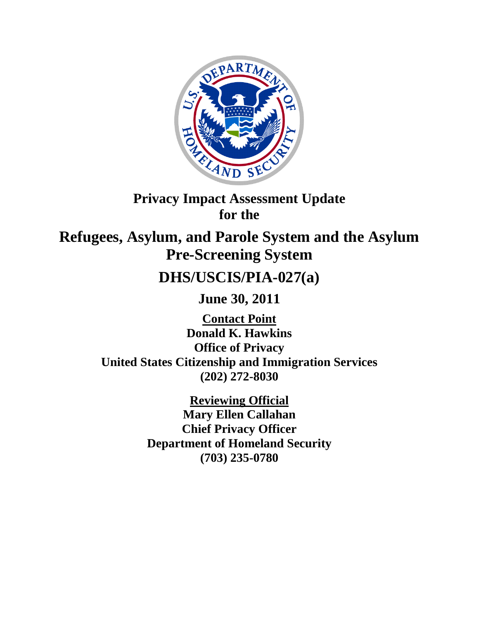

# **Privacy Impact Assessment Update for the**

**Refugees, Asylum, and Parole System and the Asylum Pre-Screening System** 

# **DHS/USCIS/PIA-027(a)**

**June 30, 2011**

**Contact Point Donald K. Hawkins Office of Privacy United States Citizenship and Immigration Services (202) 272-8030**

> **Reviewing Official Mary Ellen Callahan Chief Privacy Officer Department of Homeland Security (703) 235-0780**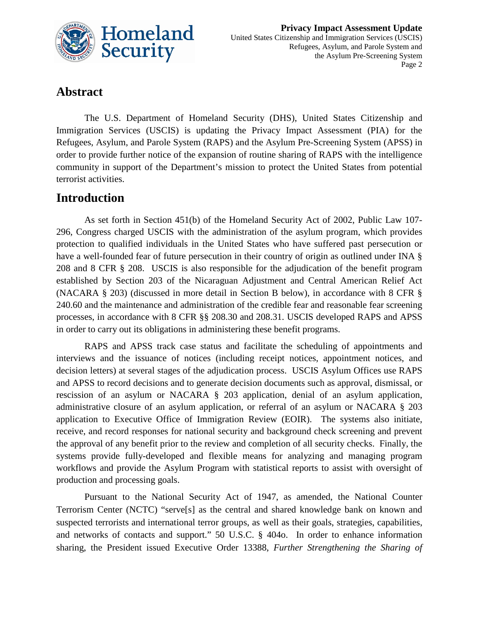

## **Abstract**

The U.S. Department of Homeland Security (DHS), United States Citizenship and Immigration Services (USCIS) is updating the Privacy Impact Assessment (PIA) for the Refugees, Asylum, and Parole System (RAPS) and the Asylum Pre-Screening System (APSS) in order to provide further notice of the expansion of routine sharing of RAPS with the intelligence community in support of the Department's mission to protect the United States from potential terrorist activities.

### **Introduction**

As set forth in Section 451(b) of the Homeland Security Act of 2002, Public Law 107- 296, Congress charged USCIS with the administration of the asylum program, which provides protection to qualified individuals in the United States who have suffered past persecution or have a well-founded fear of future persecution in their country of origin as outlined under INA § 208 and 8 CFR § 208. USCIS is also responsible for the adjudication of the benefit program established by Section 203 of the Nicaraguan Adjustment and Central American Relief Act (NACARA § 203) (discussed in more detail in Section B below), in accordance with 8 CFR § 240.60 and the maintenance and administration of the credible fear and reasonable fear screening processes, in accordance with 8 CFR §§ 208.30 and 208.31. USCIS developed RAPS and APSS in order to carry out its obligations in administering these benefit programs.

RAPS and APSS track case status and facilitate the scheduling of appointments and interviews and the issuance of notices (including receipt notices, appointment notices, and decision letters) at several stages of the adjudication process. USCIS Asylum Offices use RAPS and APSS to record decisions and to generate decision documents such as approval, dismissal, or rescission of an asylum or NACARA § 203 application, denial of an asylum application, administrative closure of an asylum application, or referral of an asylum or NACARA § 203 application to Executive Office of Immigration Review (EOIR). The systems also initiate, receive, and record responses for national security and background check screening and prevent the approval of any benefit prior to the review and completion of all security checks. Finally, the systems provide fully-developed and flexible means for analyzing and managing program workflows and provide the Asylum Program with statistical reports to assist with oversight of production and processing goals.

Pursuant to the National Security Act of 1947, as amended, the National Counter Terrorism Center (NCTC) "serve[s] as the central and shared knowledge bank on known and suspected terrorists and international terror groups, as well as their goals, strategies, capabilities, and networks of contacts and support." 50 U.S.C. § 404o. In order to enhance information sharing, the President issued Executive Order 13388, *Further Strengthening the Sharing of*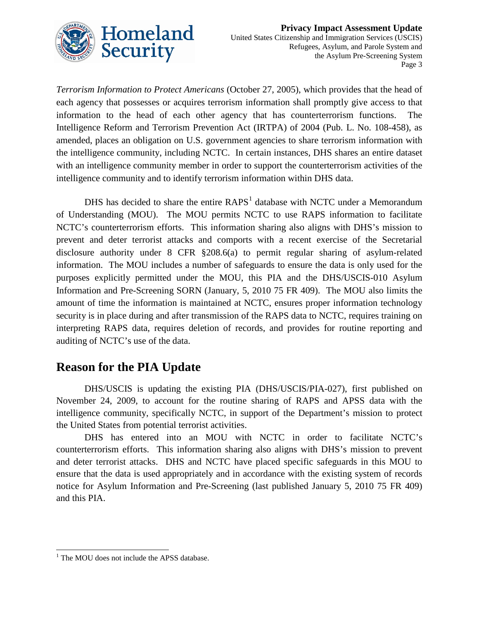

*Terrorism Information to Protect Americans* (October 27, 2005), which provides that the head of each agency that possesses or acquires terrorism information shall promptly give access to that information to the head of each other agency that has counterterrorism functions. The Intelligence Reform and Terrorism Prevention Act (IRTPA) of 2004 (Pub. L. No. 108-458), as amended, places an obligation on U.S. government agencies to share terrorism information with the intelligence community, including NCTC. In certain instances, DHS shares an entire dataset with an intelligence community member in order to support the counterterrorism activities of the intelligence community and to identify terrorism information within DHS data.

DHS has decided to share the entire  $RAPS<sup>1</sup>$  $RAPS<sup>1</sup>$  $RAPS<sup>1</sup>$  database with NCTC under a Memorandum of Understanding (MOU). The MOU permits NCTC to use RAPS information to facilitate NCTC's counterterrorism efforts. This information sharing also aligns with DHS's mission to prevent and deter terrorist attacks and comports with a recent exercise of the Secretarial disclosure authority under 8 CFR §208.6(a) to permit regular sharing of asylum-related information. The MOU includes a number of safeguards to ensure the data is only used for the purposes explicitly permitted under the MOU, this PIA and the DHS/USCIS-010 Asylum Information and Pre-Screening SORN (January, 5, 2010 75 FR 409). The MOU also limits the amount of time the information is maintained at NCTC, ensures proper information technology security is in place during and after transmission of the RAPS data to NCTC, requires training on interpreting RAPS data, requires deletion of records, and provides for routine reporting and auditing of NCTC's use of the data.

## **Reason for the PIA Update**

DHS/USCIS is updating the existing PIA (DHS/USCIS/PIA-027), first published on November 24, 2009, to account for the routine sharing of RAPS and APSS data with the intelligence community, specifically NCTC, in support of the Department's mission to protect the United States from potential terrorist activities.

DHS has entered into an MOU with NCTC in order to facilitate NCTC's counterterrorism efforts. This information sharing also aligns with DHS's mission to prevent and deter terrorist attacks. DHS and NCTC have placed specific safeguards in this MOU to ensure that the data is used appropriately and in accordance with the existing system of records notice for Asylum Information and Pre-Screening (last published January 5, 2010 75 FR 409) and this PIA.

 $\overline{a}$ 

<span id="page-2-0"></span><sup>&</sup>lt;sup>1</sup> The MOU does not include the APSS database.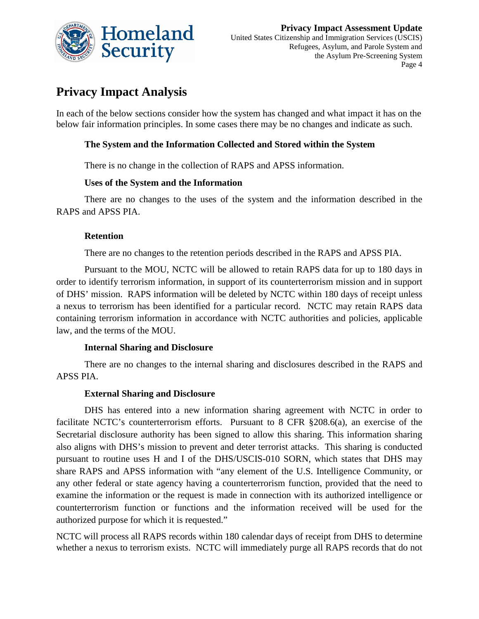

# **Privacy Impact Analysis**

In each of the below sections consider how the system has changed and what impact it has on the below fair information principles. In some cases there may be no changes and indicate as such.

#### **The System and the Information Collected and Stored within the System**

There is no change in the collection of RAPS and APSS information.

#### **Uses of the System and the Information**

There are no changes to the uses of the system and the information described in the RAPS and APSS PIA.

#### **Retention**

There are no changes to the retention periods described in the RAPS and APSS PIA.

Pursuant to the MOU, NCTC will be allowed to retain RAPS data for up to 180 days in order to identify terrorism information, in support of its counterterrorism mission and in support of DHS' mission. RAPS information will be deleted by NCTC within 180 days of receipt unless a nexus to terrorism has been identified for a particular record. NCTC may retain RAPS data containing terrorism information in accordance with NCTC authorities and policies, applicable law, and the terms of the MOU.

#### **Internal Sharing and Disclosure**

There are no changes to the internal sharing and disclosures described in the RAPS and APSS PIA.

#### **External Sharing and Disclosure**

DHS has entered into a new information sharing agreement with NCTC in order to facilitate NCTC's counterterrorism efforts. Pursuant to 8 CFR §208.6(a), an exercise of the Secretarial disclosure authority has been signed to allow this sharing. This information sharing also aligns with DHS's mission to prevent and deter terrorist attacks. This sharing is conducted pursuant to routine uses H and I of the DHS/USCIS-010 SORN, which states that DHS may share RAPS and APSS information with "any element of the U.S. Intelligence Community, or any other federal or state agency having a counterterrorism function, provided that the need to examine the information or the request is made in connection with its authorized intelligence or counterterrorism function or functions and the information received will be used for the authorized purpose for which it is requested."

NCTC will process all RAPS records within 180 calendar days of receipt from DHS to determine whether a nexus to terrorism exists. NCTC will immediately purge all RAPS records that do not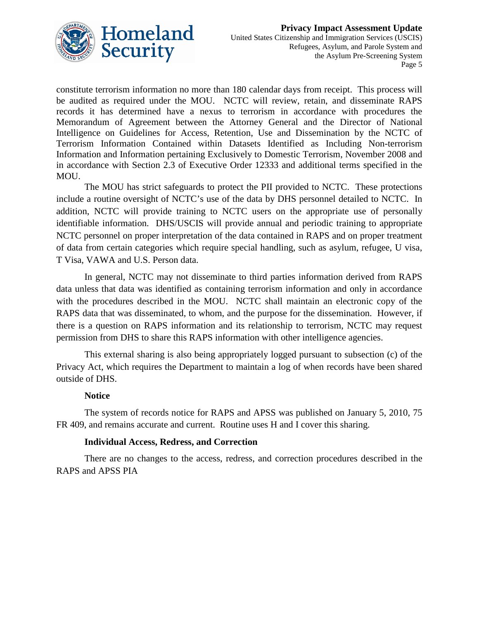

constitute terrorism information no more than 180 calendar days from receipt. This process will be audited as required under the MOU. NCTC will review, retain, and disseminate RAPS records it has determined have a nexus to terrorism in accordance with procedures the Memorandum of Agreement between the Attorney General and the Director of National Intelligence on Guidelines for Access, Retention, Use and Dissemination by the NCTC of Terrorism Information Contained within Datasets Identified as Including Non-terrorism Information and Information pertaining Exclusively to Domestic Terrorism, November 2008 and in accordance with Section 2.3 of Executive Order 12333 and additional terms specified in the MOU.

The MOU has strict safeguards to protect the PII provided to NCTC. These protections include a routine oversight of NCTC's use of the data by DHS personnel detailed to NCTC. In addition, NCTC will provide training to NCTC users on the appropriate use of personally identifiable information. DHS/USCIS will provide annual and periodic training to appropriate NCTC personnel on proper interpretation of the data contained in RAPS and on proper treatment of data from certain categories which require special handling, such as asylum, refugee, U visa, T Visa, VAWA and U.S. Person data.

In general, NCTC may not disseminate to third parties information derived from RAPS data unless that data was identified as containing terrorism information and only in accordance with the procedures described in the MOU. NCTC shall maintain an electronic copy of the RAPS data that was disseminated, to whom, and the purpose for the dissemination. However, if there is a question on RAPS information and its relationship to terrorism, NCTC may request permission from DHS to share this RAPS information with other intelligence agencies.

This external sharing is also being appropriately logged pursuant to subsection (c) of the Privacy Act, which requires the Department to maintain a log of when records have been shared outside of DHS.

#### **Notice**

The system of records notice for RAPS and APSS was published on January 5, 2010, 75 FR 409, and remains accurate and current. Routine uses H and I cover this sharing.

#### **Individual Access, Redress, and Correction**

There are no changes to the access, redress, and correction procedures described in the RAPS and APSS PIA